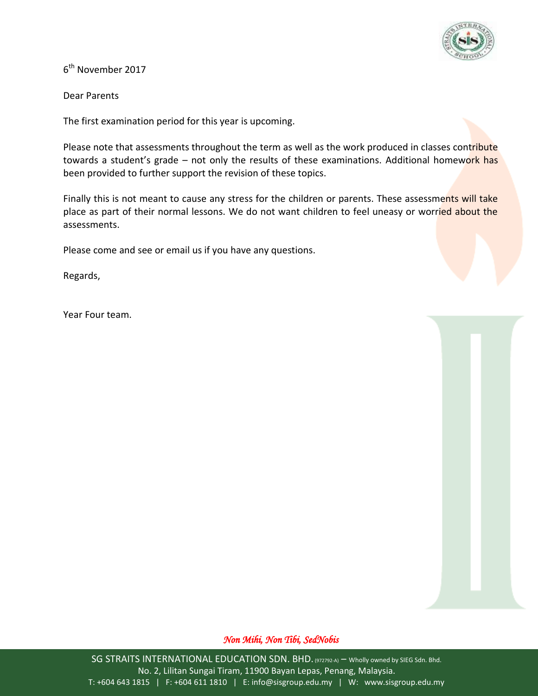

6<sup>th</sup> November 2017

Dear Parents

The first examination period for this year is upcoming.

Please note that assessments throughout the term as well as the work produced in classes contribute towards a student's grade – not only the results of these examinations. Additional homework has been provided to further support the revision of these topics.

Finally this is not meant to cause any stress for the children or parents. These assessments will take place as part of their normal lessons. We do not want children to feel uneasy or worried about the assessments.

Please come and see or email us if you have any questions.

Regards,

Year Four team.

## *Non Mihi, Non Tibi, SedNobis*

SG STRAITS INTERNATIONAL EDUCATION SDN. BHD. (972792-A) - Wholly owned by SIEG Sdn. Bhd. No. 2, Lilitan Sungai Tiram, 11900 Bayan Lepas, Penang, Malaysia. T: +604 643 1815 | F: +604 611 1810 | E: info@sisgroup.edu.my | W: www.sisgroup.edu.my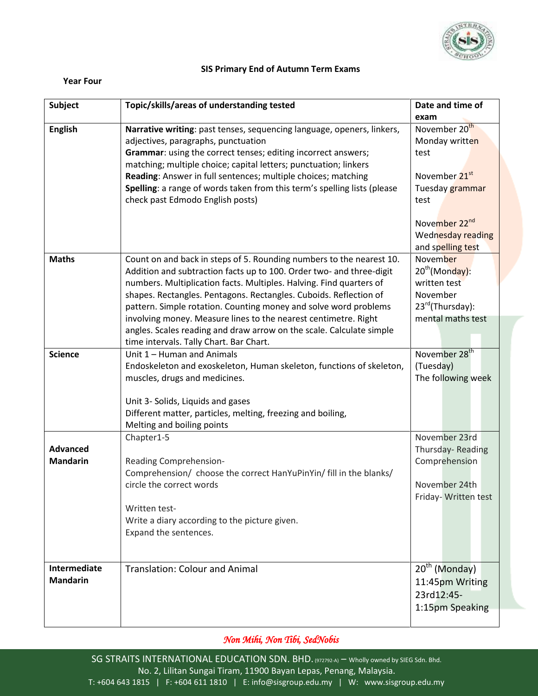

## **SIS Primary End of Autumn Term Exams**

## **Year Four**

| Subject         | Topic/skills/areas of understanding tested                               | Date and time of           |
|-----------------|--------------------------------------------------------------------------|----------------------------|
|                 |                                                                          | exam                       |
| <b>English</b>  | Narrative writing: past tenses, sequencing language, openers, linkers,   | November 20 <sup>th</sup>  |
|                 | adjectives, paragraphs, punctuation                                      | Monday written             |
|                 | Grammar: using the correct tenses; editing incorrect answers;            | test                       |
|                 | matching; multiple choice; capital letters; punctuation; linkers         |                            |
|                 | Reading: Answer in full sentences; multiple choices; matching            | November 21 <sup>st</sup>  |
|                 | Spelling: a range of words taken from this term's spelling lists (please | Tuesday grammar            |
|                 | check past Edmodo English posts)                                         | test                       |
|                 |                                                                          | November 22 <sup>nd</sup>  |
|                 |                                                                          | Wednesday reading          |
|                 |                                                                          | and spelling test          |
| <b>Maths</b>    | Count on and back in steps of 5. Rounding numbers to the nearest 10.     | November                   |
|                 | Addition and subtraction facts up to 100. Order two- and three-digit     | 20 <sup>th</sup> (Monday): |
|                 | numbers. Multiplication facts. Multiples. Halving. Find quarters of      | written test               |
|                 | shapes. Rectangles. Pentagons. Rectangles. Cuboids. Reflection of        | November                   |
|                 | pattern. Simple rotation. Counting money and solve word problems         | 23rd(Thursday):            |
|                 | involving money. Measure lines to the nearest centimetre. Right          | mental maths test          |
|                 | angles. Scales reading and draw arrow on the scale. Calculate simple     |                            |
|                 | time intervals. Tally Chart. Bar Chart.                                  |                            |
| <b>Science</b>  | Unit 1 - Human and Animals                                               | November 28 <sup>th</sup>  |
|                 | Endoskeleton and exoskeleton, Human skeleton, functions of skeleton,     | (Tuesday)                  |
|                 | muscles, drugs and medicines.                                            | The following week         |
|                 |                                                                          |                            |
|                 | Unit 3- Solids, Liquids and gases                                        |                            |
|                 | Different matter, particles, melting, freezing and boiling,              |                            |
|                 | Melting and boiling points                                               |                            |
|                 | Chapter1-5                                                               | November 23rd              |
| <b>Advanced</b> |                                                                          | Thursday-Reading           |
| <b>Mandarin</b> | Reading Comprehension-                                                   | Comprehension              |
|                 | Comprehension/ choose the correct HanYuPinYin/ fill in the blanks/       |                            |
|                 | circle the correct words                                                 | November 24th              |
|                 |                                                                          | Friday- Written test       |
|                 | Written test-                                                            |                            |
|                 | Write a diary according to the picture given.                            |                            |
|                 | Expand the sentences.                                                    |                            |
|                 |                                                                          |                            |
|                 |                                                                          |                            |
| Intermediate    | <b>Translation: Colour and Animal</b>                                    | $20^{th}$ (Monday)         |
| <b>Mandarin</b> |                                                                          | 11:45pm Writing            |
|                 |                                                                          | 23rd12:45-                 |
|                 |                                                                          | 1:15pm Speaking            |
|                 |                                                                          |                            |

## *Non Mihi, Non Tibi, SedNobis*

SG STRAITS INTERNATIONAL EDUCATION SDN. BHD. (972792-A) – Wholly owned by SIEG Sdn. Bhd. No. 2, Lilitan Sungai Tiram, 11900 Bayan Lepas, Penang, Malaysia. T: +604 643 1815 | F: +604 611 1810 | E: info@sisgroup.edu.my | W: www.sisgroup.edu.my